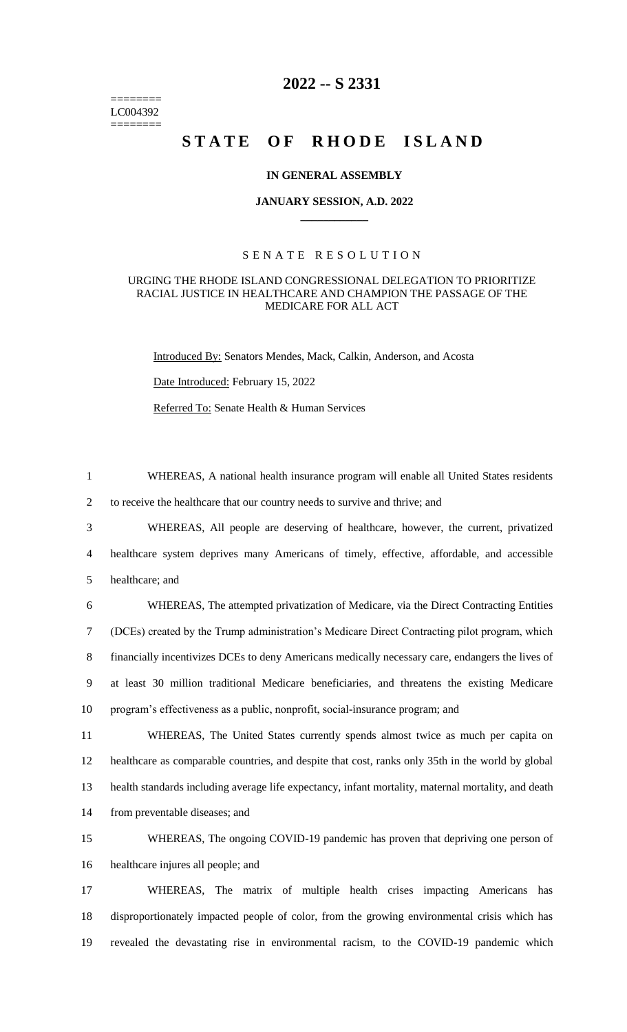======== LC004392 ========

# **2022 -- S 2331**

# **STATE OF RHODE ISLAND**

## **IN GENERAL ASSEMBLY**

#### **JANUARY SESSION, A.D. 2022 \_\_\_\_\_\_\_\_\_\_\_\_**

# S E N A T E R E S O L U T I O N

## URGING THE RHODE ISLAND CONGRESSIONAL DELEGATION TO PRIORITIZE RACIAL JUSTICE IN HEALTHCARE AND CHAMPION THE PASSAGE OF THE MEDICARE FOR ALL ACT

Introduced By: Senators Mendes, Mack, Calkin, Anderson, and Acosta

Date Introduced: February 15, 2022

Referred To: Senate Health & Human Services

1 WHEREAS, A national health insurance program will enable all United States residents

2 to receive the healthcare that our country needs to survive and thrive; and

3 WHEREAS, All people are deserving of healthcare, however, the current, privatized 4 healthcare system deprives many Americans of timely, effective, affordable, and accessible 5 healthcare; and

 WHEREAS, The attempted privatization of Medicare, via the Direct Contracting Entities (DCEs) created by the Trump administration's Medicare Direct Contracting pilot program, which financially incentivizes DCEs to deny Americans medically necessary care, endangers the lives of at least 30 million traditional Medicare beneficiaries, and threatens the existing Medicare program's effectiveness as a public, nonprofit, social-insurance program; and

 WHEREAS, The United States currently spends almost twice as much per capita on healthcare as comparable countries, and despite that cost, ranks only 35th in the world by global health standards including average life expectancy, infant mortality, maternal mortality, and death from preventable diseases; and

15 WHEREAS, The ongoing COVID-19 pandemic has proven that depriving one person of 16 healthcare injures all people; and

17 WHEREAS, The matrix of multiple health crises impacting Americans has 18 disproportionately impacted people of color, from the growing environmental crisis which has 19 revealed the devastating rise in environmental racism, to the COVID-19 pandemic which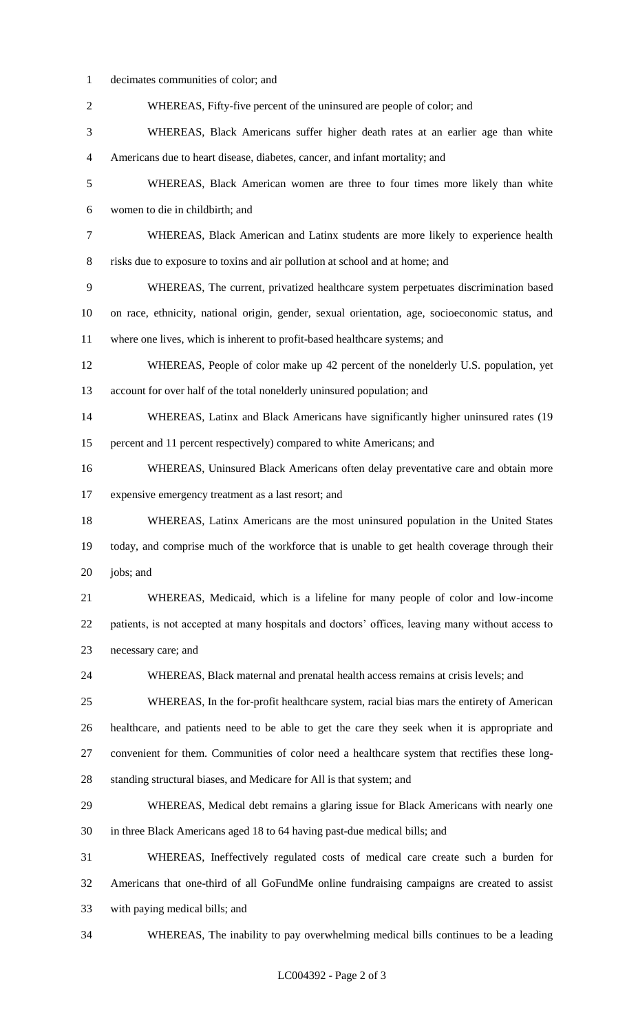decimates communities of color; and

| $\sqrt{2}$       | WHEREAS, Fifty-five percent of the uninsured are people of color; and                            |
|------------------|--------------------------------------------------------------------------------------------------|
| 3                | WHEREAS, Black Americans suffer higher death rates at an earlier age than white                  |
| $\overline{4}$   | Americans due to heart disease, diabetes, cancer, and infant mortality; and                      |
| 5                | WHEREAS, Black American women are three to four times more likely than white                     |
| 6                | women to die in childbirth; and                                                                  |
| $\boldsymbol{7}$ | WHEREAS, Black American and Latinx students are more likely to experience health                 |
| $8\,$            | risks due to exposure to toxins and air pollution at school and at home; and                     |
| 9                | WHEREAS, The current, privatized healthcare system perpetuates discrimination based              |
| 10               | on race, ethnicity, national origin, gender, sexual orientation, age, socioeconomic status, and  |
| 11               | where one lives, which is inherent to profit-based healthcare systems; and                       |
| 12               | WHEREAS, People of color make up 42 percent of the nonelderly U.S. population, yet               |
| 13               | account for over half of the total nonelderly uninsured population; and                          |
| 14               | WHEREAS, Latinx and Black Americans have significantly higher uninsured rates (19)               |
| 15               | percent and 11 percent respectively) compared to white Americans; and                            |
| 16               | WHEREAS, Uninsured Black Americans often delay preventative care and obtain more                 |
| 17               | expensive emergency treatment as a last resort; and                                              |
| 18               | WHEREAS, Latinx Americans are the most uninsured population in the United States                 |
| 19               | today, and comprise much of the workforce that is unable to get health coverage through their    |
| 20               | jobs; and                                                                                        |
| 21               | WHEREAS, Medicaid, which is a lifeline for many people of color and low-income                   |
| 22               | patients, is not accepted at many hospitals and doctors' offices, leaving many without access to |
| 23               | necessary care; and                                                                              |
| 24               | WHEREAS, Black maternal and prenatal health access remains at crisis levels; and                 |
| 25               | WHEREAS, In the for-profit healthcare system, racial bias mars the entirety of American          |
| 26               | healthcare, and patients need to be able to get the care they seek when it is appropriate and    |
| 27               | convenient for them. Communities of color need a healthcare system that rectifies these long-    |
| 28               | standing structural biases, and Medicare for All is that system; and                             |
| 29               | WHEREAS, Medical debt remains a glaring issue for Black Americans with nearly one                |
| 30               | in three Black Americans aged 18 to 64 having past-due medical bills; and                        |
| 31               | WHEREAS, Ineffectively regulated costs of medical care create such a burden for                  |
| 32               | Americans that one-third of all GoFundMe online fundraising campaigns are created to assist      |
| 33               | with paying medical bills; and                                                                   |
| 34               | WHEREAS, The inability to pay overwhelming medical bills continues to be a leading               |